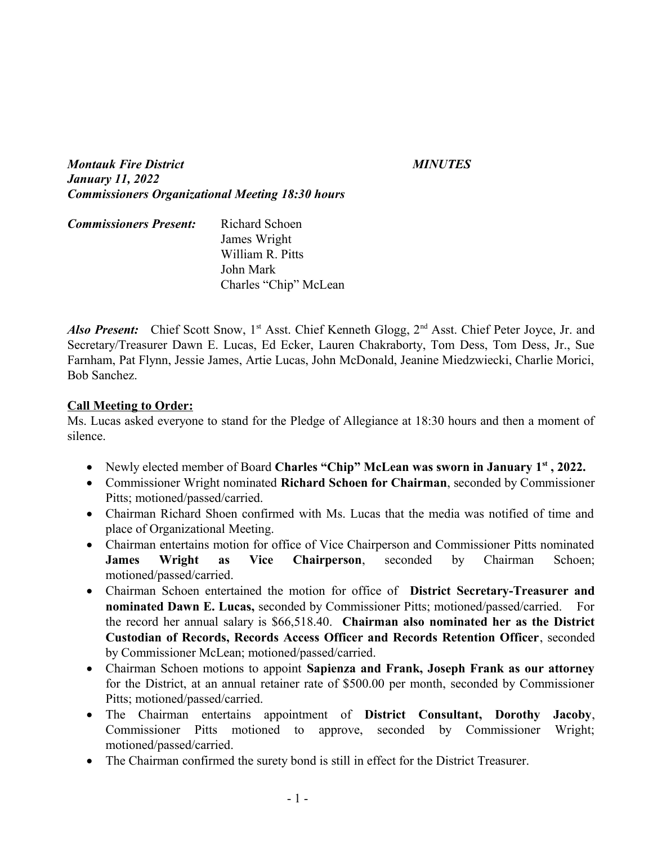*Montauk Fire District MINUTES January 11, 2022 Commissioners Organizational Meeting 18:30 hours*

| <b>Commissioners Present:</b> | Richard Schoen        |
|-------------------------------|-----------------------|
|                               | James Wright          |
|                               | William R. Pitts      |
|                               | John Mark             |
|                               | Charles "Chip" McLean |

*Also Present:* Chief Scott Snow, 1<sup>st</sup> Asst. Chief Kenneth Glogg, 2<sup>nd</sup> Asst. Chief Peter Joyce, Jr. and Secretary/Treasurer Dawn E. Lucas, Ed Ecker, Lauren Chakraborty, Tom Dess, Tom Dess, Jr., Sue Farnham, Pat Flynn, Jessie James, Artie Lucas, John McDonald, Jeanine Miedzwiecki, Charlie Morici, Bob Sanchez.

## **Call Meeting to Order:**

Ms. Lucas asked everyone to stand for the Pledge of Allegiance at 18:30 hours and then a moment of silence.

- Newly elected member of Board **Charles "Chip" McLean was sworn in January 1st , 2022.**
- Commissioner Wright nominated **Richard Schoen for Chairman**, seconded by Commissioner Pitts; motioned/passed/carried.
- Chairman Richard Shoen confirmed with Ms. Lucas that the media was notified of time and place of Organizational Meeting.
- Chairman entertains motion for office of Vice Chairperson and Commissioner Pitts nominated **James Wright as Vice Chairperson**, seconded by Chairman Schoen; motioned/passed/carried.
- Chairman Schoen entertained the motion for office of **District Secretary-Treasurer and nominated Dawn E. Lucas,** seconded by Commissioner Pitts; motioned/passed/carried. For the record her annual salary is \$66,518.40. **Chairman also nominated her as the District Custodian of Records, Records Access Officer and Records Retention Officer**, seconded by Commissioner McLean; motioned/passed/carried.
- Chairman Schoen motions to appoint **Sapienza and Frank, Joseph Frank as our attorney** for the District, at an annual retainer rate of \$500.00 per month, seconded by Commissioner Pitts; motioned/passed/carried.
- The Chairman entertains appointment of **District Consultant, Dorothy Jacoby**, Commissioner Pitts motioned to approve, seconded by Commissioner Wright; motioned/passed/carried.
- The Chairman confirmed the surety bond is still in effect for the District Treasurer.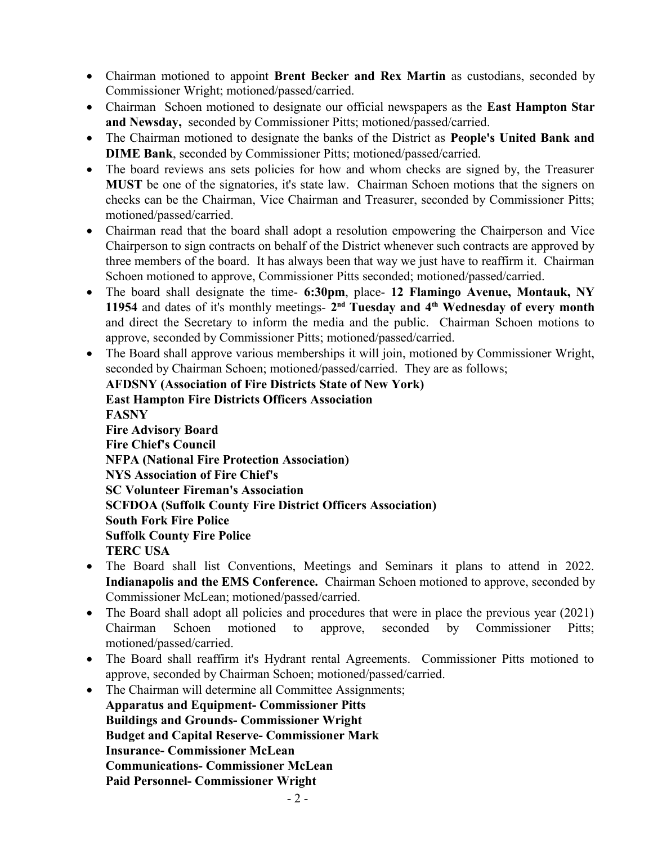- Chairman motioned to appoint **Brent Becker and Rex Martin** as custodians, seconded by Commissioner Wright; motioned/passed/carried.
- Chairman Schoen motioned to designate our official newspapers as the **East Hampton Star and Newsday,** seconded by Commissioner Pitts; motioned/passed/carried.
- The Chairman motioned to designate the banks of the District as **People's United Bank and DIME Bank**, seconded by Commissioner Pitts; motioned/passed/carried.
- The board reviews ans sets policies for how and whom checks are signed by, the Treasurer **MUST** be one of the signatories, it's state law. Chairman Schoen motions that the signers on checks can be the Chairman, Vice Chairman and Treasurer, seconded by Commissioner Pitts; motioned/passed/carried.
- Chairman read that the board shall adopt a resolution empowering the Chairperson and Vice Chairperson to sign contracts on behalf of the District whenever such contracts are approved by three members of the board. It has always been that way we just have to reaffirm it. Chairman Schoen motioned to approve, Commissioner Pitts seconded; motioned/passed/carried.
- The board shall designate the time- **6:30pm**, place- **12 Flamingo Avenue, Montauk, NY 11954** and dates of it's monthly meetings- **2 nd Tuesday and 4th Wednesday of every month** and direct the Secretary to inform the media and the public. Chairman Schoen motions to approve, seconded by Commissioner Pitts; motioned/passed/carried.
- The Board shall approve various memberships it will join, motioned by Commissioner Wright, seconded by Chairman Schoen; motioned/passed/carried. They are as follows;

**AFDSNY (Association of Fire Districts State of New York) East Hampton Fire Districts Officers Association FASNY Fire Advisory Board Fire Chief's Council NFPA (National Fire Protection Association) NYS Association of Fire Chief's SC Volunteer Fireman's Association SCFDOA (Suffolk County Fire District Officers Association) South Fork Fire Police Suffolk County Fire Police TERC USA**

- The Board shall list Conventions, Meetings and Seminars it plans to attend in 2022. **Indianapolis and the EMS Conference.** Chairman Schoen motioned to approve, seconded by Commissioner McLean; motioned/passed/carried.
- The Board shall adopt all policies and procedures that were in place the previous year (2021) Chairman Schoen motioned to approve, seconded by Commissioner Pitts; motioned/passed/carried.
- The Board shall reaffirm it's Hydrant rental Agreements. Commissioner Pitts motioned to approve, seconded by Chairman Schoen; motioned/passed/carried.
- The Chairman will determine all Committee Assignments;

**Apparatus and Equipment- Commissioner Pitts Buildings and Grounds- Commissioner Wright Budget and Capital Reserve- Commissioner Mark Insurance- Commissioner McLean Communications- Commissioner McLean Paid Personnel- Commissioner Wright**